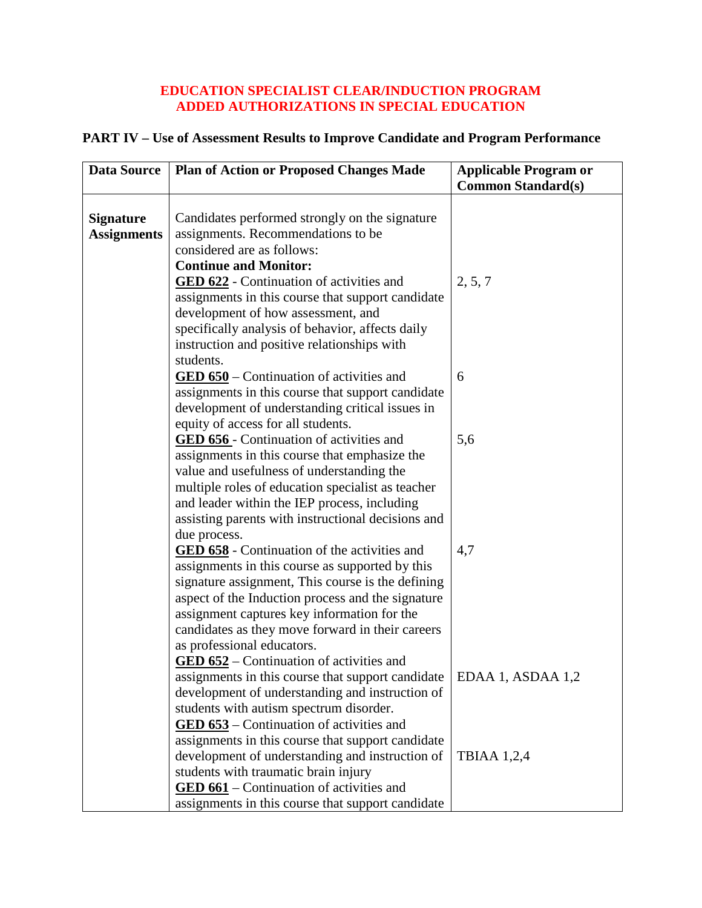## **EDUCATION SPECIALIST CLEAR/INDUCTION PROGRAM ADDED AUTHORIZATIONS IN SPECIAL EDUCATION**

## **PART IV – Use of Assessment Results to Improve Candidate and Program Performance**

| <b>Data Source</b>                     | <b>Plan of Action or Proposed Changes Made</b>                                                                                                                                                                                                                                                                                                                                                                   | <b>Applicable Program or</b> |
|----------------------------------------|------------------------------------------------------------------------------------------------------------------------------------------------------------------------------------------------------------------------------------------------------------------------------------------------------------------------------------------------------------------------------------------------------------------|------------------------------|
|                                        |                                                                                                                                                                                                                                                                                                                                                                                                                  | <b>Common Standard(s)</b>    |
| <b>Signature</b><br><b>Assignments</b> | Candidates performed strongly on the signature<br>assignments. Recommendations to be<br>considered are as follows:<br><b>Continue and Monitor:</b><br><b>GED 622</b> - Continuation of activities and<br>assignments in this course that support candidate<br>development of how assessment, and<br>specifically analysis of behavior, affects daily<br>instruction and positive relationships with<br>students. | 2, 5, 7                      |
|                                        | <b>GED 650</b> – Continuation of activities and<br>assignments in this course that support candidate<br>development of understanding critical issues in                                                                                                                                                                                                                                                          | 6                            |
|                                        | equity of access for all students.<br><b>GED 656</b> - Continuation of activities and<br>assignments in this course that emphasize the<br>value and usefulness of understanding the<br>multiple roles of education specialist as teacher                                                                                                                                                                         | 5,6                          |
|                                        | and leader within the IEP process, including<br>assisting parents with instructional decisions and<br>due process.                                                                                                                                                                                                                                                                                               |                              |
|                                        | <b>GED 658</b> - Continuation of the activities and<br>assignments in this course as supported by this<br>signature assignment, This course is the defining<br>aspect of the Induction process and the signature<br>assignment captures key information for the<br>candidates as they move forward in their careers<br>as professional educators.<br><b>GED 652</b> – Continuation of activities and             | 4,7                          |
|                                        | assignments in this course that support candidate<br>development of understanding and instruction of<br>students with autism spectrum disorder.<br>GED 653 – Continuation of activities and<br>assignments in this course that support candidate                                                                                                                                                                 | EDAA 1, ASDAA 1,2            |
|                                        | development of understanding and instruction of<br>students with traumatic brain injury<br><b>GED 661</b> – Continuation of activities and<br>assignments in this course that support candidate                                                                                                                                                                                                                  | TBIAA 1,2,4                  |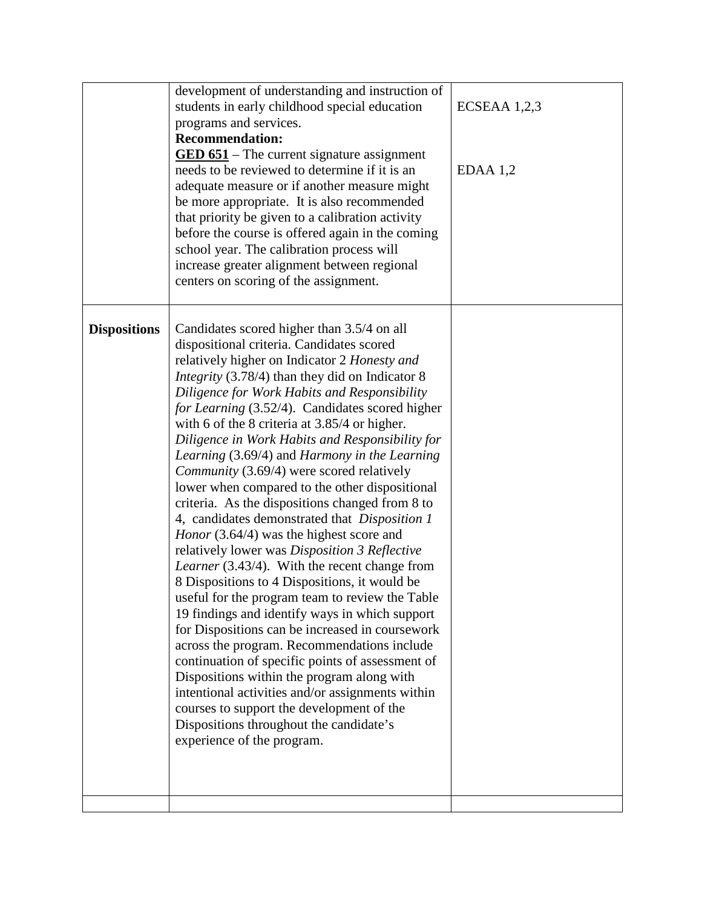|                     | development of understanding and instruction of<br>students in early childhood special education<br>programs and services.<br><b>Recommendation:</b><br>$\underline{\mathbf{GED 651}}$ – The current signature assignment<br>needs to be reviewed to determine if it is an<br>adequate measure or if another measure might<br>be more appropriate. It is also recommended<br>that priority be given to a calibration activity<br>before the course is offered again in the coming<br>school year. The calibration process will<br>increase greater alignment between regional<br>centers on scoring of the assignment.                                                                                                                                                                                                                                                                                                                                                                                                                                                                                                                                                                                                                                                                                                                                  | $ECSEAA$ 1,2,3<br>$EDAA$ 1,2 |
|---------------------|---------------------------------------------------------------------------------------------------------------------------------------------------------------------------------------------------------------------------------------------------------------------------------------------------------------------------------------------------------------------------------------------------------------------------------------------------------------------------------------------------------------------------------------------------------------------------------------------------------------------------------------------------------------------------------------------------------------------------------------------------------------------------------------------------------------------------------------------------------------------------------------------------------------------------------------------------------------------------------------------------------------------------------------------------------------------------------------------------------------------------------------------------------------------------------------------------------------------------------------------------------------------------------------------------------------------------------------------------------|------------------------------|
| <b>Dispositions</b> | Candidates scored higher than 3.5/4 on all<br>dispositional criteria. Candidates scored<br>relatively higher on Indicator 2 Honesty and<br><i>Integrity</i> (3.78/4) than they did on Indicator 8<br>Diligence for Work Habits and Responsibility<br>for Learning (3.52/4). Candidates scored higher<br>with 6 of the 8 criteria at $3.85/4$ or higher.<br>Diligence in Work Habits and Responsibility for<br>Learning (3.69/4) and Harmony in the Learning<br>Community (3.69/4) were scored relatively<br>lower when compared to the other dispositional<br>criteria. As the dispositions changed from 8 to<br>4, candidates demonstrated that Disposition 1<br><i>Honor</i> (3.64/4) was the highest score and<br>relatively lower was Disposition 3 Reflective<br>Learner (3.43/4). With the recent change from<br>8 Dispositions to 4 Dispositions, it would be<br>useful for the program team to review the Table<br>19 findings and identify ways in which support<br>for Dispositions can be increased in coursework<br>across the program. Recommendations include<br>continuation of specific points of assessment of<br>Dispositions within the program along with<br>intentional activities and/or assignments within<br>courses to support the development of the<br>Dispositions throughout the candidate's<br>experience of the program. |                              |